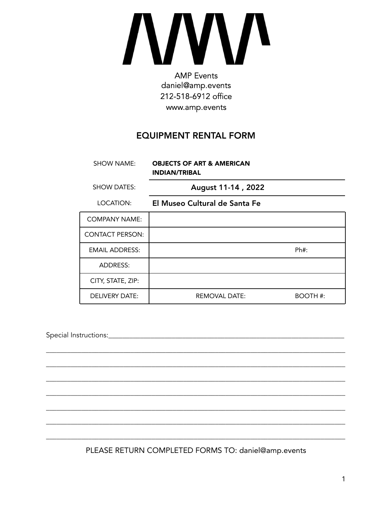# **AMP** Events

daniel@amp.events 212-518-6912 office www.amp.events

# **EQUIPMENT RENTAL FORM**

| SHOW NAME:             | <b>OBJECTS OF ART &amp; AMERICAN</b><br><b>INDIAN/TRIBAL</b> |          |
|------------------------|--------------------------------------------------------------|----------|
| <b>SHOW DATES:</b>     | August 11-14, 2022                                           |          |
| LOCATION:              | El Museo Cultural de Santa Fe                                |          |
| <b>COMPANY NAME:</b>   |                                                              |          |
| <b>CONTACT PERSON:</b> |                                                              |          |
| <b>EMAIL ADDRESS:</b>  |                                                              | Ph#:     |
| <b>ADDRESS:</b>        |                                                              |          |
| CITY, STATE, ZIP:      |                                                              |          |
| <b>DELIVERY DATE:</b>  | <b>REMOVAL DATE:</b>                                         | BOOTH #: |

PLEASE RETURN COMPLETED FORMS TO: daniel@amp.events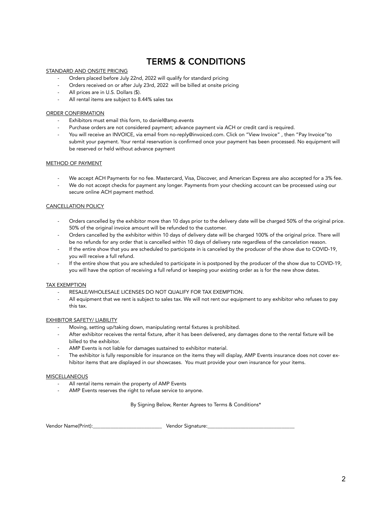# TERMS & CONDITIONS

#### STANDARD AND ONSITE PRICING

- Orders placed before July 22nd, 2022 will qualify for standard pricing
- Orders received on or after July 23rd, 2022 will be billed at onsite pricing
- All prices are in U.S. Dollars (\$).
- All rental items are subject to 8.44% sales tax

#### ORDER CONFIRMATION

- Exhibitors must email this form, to daniel@amp.events
- Purchase orders are not considered payment; advance payment via ACH or credit card is required.
- You will receive an INVOICE, via email from no-reply@invoiced.com. Click on "View Invoice" , then "Pay Invoice"to submit your payment. Your rental reservation is confirmed once your payment has been processed. No equipment will be reserved or held without advance payment

#### METHOD OF PAYMENT

- We accept ACH Payments for no fee. Mastercard, Visa, Discover, and American Express are also accepted for a 3% fee.
- We do not accept checks for payment any longer. Payments from your checking account can be processed using our secure online ACH payment method.

#### CANCELLATION POLICY

- Orders cancelled by the exhibitor more than 10 days prior to the delivery date will be charged 50% of the original price. 50% of the original invoice amount will be refunded to the customer.
- Orders cancelled by the exhibitor within 10 days of delivery date will be charged 100% of the original price. There will be no refunds for any order that is cancelled within 10 days of delivery rate regardless of the cancelation reason.
- If the entire show that you are scheduled to participate in is canceled by the producer of the show due to COVID-19, you will receive a full refund.
- If the entire show that you are scheduled to participate in is postponed by the producer of the show due to COVID-19, you will have the option of receiving a full refund or keeping your existing order as is for the new show dates.

#### TAX EXEMPTION

- RESALE/WHOLESALE LICENSES DO NOT QUALIFY FOR TAX EXEMPTION.
- All equipment that we rent is subject to sales tax. We will not rent our equipment to any exhibitor who refuses to pay this tax.

#### EXHIBITOR SAFETY/ LIABILITY

- Moving, setting up/taking down, manipulating rental fixtures is prohibited.
- After exhibitor receives the rental fixture, after it has been delivered, any damages done to the rental fixture will be billed to the exhibitor.
- AMP Events is not liable for damages sustained to exhibitor material.
- The exhibitor is fully responsible for insurance on the items they will display, AMP Events insurance does not cover exhibitor items that are displayed in our showcases. You must provide your own insurance for your items.

#### MISCELLANEOUS

- All rental items remain the property of AMP Events
- AMP Events reserves the right to refuse service to anyone.

By Signing Below, Renter Agrees to Terms & Conditions\*

Vendor Name(Print):\_\_\_\_\_\_\_\_\_\_\_\_\_\_\_\_\_\_\_\_\_\_\_\_\_\_\_ Vendor Signature:\_\_\_\_\_\_\_\_\_\_\_\_\_\_\_\_\_\_\_\_\_\_\_\_\_\_\_\_\_\_\_\_\_\_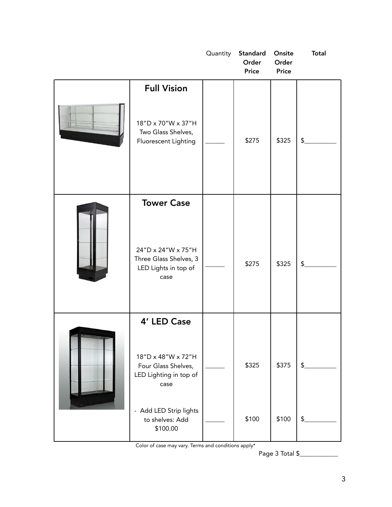|                                                                                                   | Quantity | Standard<br>Order<br><b>Price</b> | Onsite<br>Order<br><b>Price</b> | <b>Total</b> |
|---------------------------------------------------------------------------------------------------|----------|-----------------------------------|---------------------------------|--------------|
| <b>Full Vision</b><br>18"D x 70"W x 37"H<br>Two Glass Shelves,<br>Fluorescent Lighting            |          | \$275                             | \$325                           | \$           |
| <b>Tower Case</b><br>24"D x 24"W x 75"H<br>Three Glass Shelves, 3<br>LED Lights in top of<br>case |          | \$275                             | \$325                           | \$           |
| 4' LED Case<br>18"D x 48"W x 72"H<br>Four Glass Shelves,<br>LED Lighting in top of<br>case        |          | \$325                             | \$375                           | \$           |
| - Add LED Strip lights<br>to shelves: Add<br>\$100.00                                             |          | \$100                             | \$100                           | \$           |

Color of case may vary. Terms and conditions apply\*

Page 3 Total \$\_\_\_\_\_\_\_\_\_\_\_\_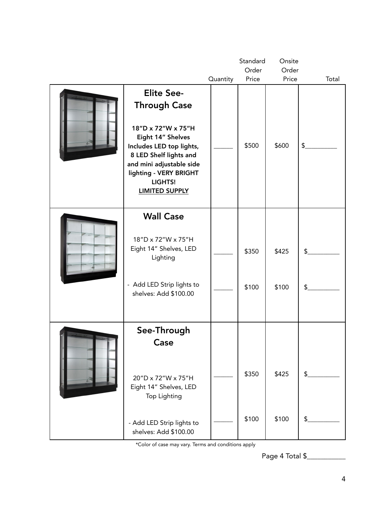|                                                                                                                                                                                                                                     |          | Standard       | Onsite         |               |
|-------------------------------------------------------------------------------------------------------------------------------------------------------------------------------------------------------------------------------------|----------|----------------|----------------|---------------|
|                                                                                                                                                                                                                                     |          | Order          | Order          |               |
|                                                                                                                                                                                                                                     | Quantity | Price          | Price          | Total         |
| <b>Elite See-</b><br><b>Through Case</b><br>18"D x 72"W x 75"H<br>Eight 14" Shelves<br>Includes LED top lights,<br>8 LED Shelf lights and<br>and mini adjustable side<br>lighting - VERY BRIGHT<br>LIGHTS!<br><b>LIMITED SUPPLY</b> |          | \$500          | \$600          | \$            |
| <b>Wall Case</b><br>18"D x 72"W x 75"H<br>Eight 14" Shelves, LED<br>Lighting<br>- Add LED Strip lights to<br>shelves: Add \$100.00                                                                                                  |          | \$350<br>\$100 | \$425<br>\$100 | \$<br>\$      |
| See-Through<br>Case<br>20"D x 72"W x 75"H<br>Eight 14" Shelves, LED<br>Top Lighting                                                                                                                                                 |          | \$350          | \$425          | $\frac{2}{2}$ |
| - Add LED Strip lights to<br>shelves: Add \$100.00                                                                                                                                                                                  |          | \$100          | \$100          | \$            |

\*Color of case may vary. Terms and conditions apply

Page 4 Total \$\_\_\_\_\_\_\_\_\_\_\_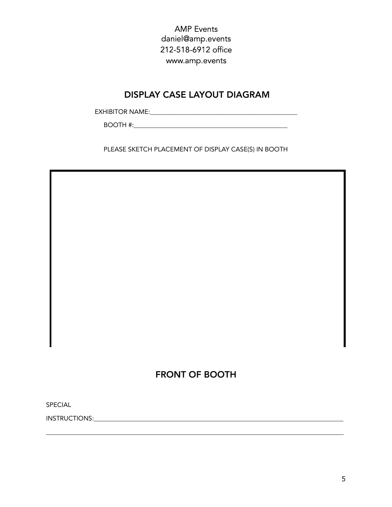**AMP** Events daniel@amp.events 212-518-6912 office www.amp.events

# **DISPLAY CASE LAYOUT DIAGRAM**

PLEASE SKETCH PLACEMENT OF DISPLAY CASE(S) IN BOOTH

# **FRONT OF BOOTH**

SPECIAL